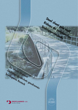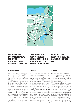

## **SEALING OF THE TAR WASTE DISPOSAL FACILITY AT THE OLD GASWORKS IN ROSTOCK, GERMANY**

# **ETANCHEIFICATION DE LA DECHARGE DE DECHETS GOUDRONNES DE L'ANCIENNE USINE** A GAZ DE ROSTOCK, RFA

# **SICHERUNG DER TEERDEPONIE DES ALTEN GASWERKS ROSTOCK, BRD**

#### 1. Existing situation

A heavy fuel oil-fed aas cracking plant. located on the site of Rostock's coal gasworks (built in 1856 and supplying the city and surrounding country until 1968), provided additional town gas capacity between 1959 and 1967. By-products from this plant were tarry condensates, for which marketable recycling technology had not been perfected, resulting in the storage of considerable avantities on open around adjacent to the gas cracking plant. As shown in figure 1, a rim bund was built at the time between the storage reservoir and the River Warnow in order to confine this "tar disposal area" and to prevent contamination of the nearby river during periods of flood. Continuous settlements had to be coun-

#### 1. Situation

L'usine à gaz de la ville de Rostock. construite en 1856, a alimenté en gaz la ville et ses environs jusqu'en 1968. Elle fonctionnait au charbon. Entre 1959 et 1967, elle a été complétée par une installation de craquage d'huiles lourdes aménagée sur le site et destinée à augmenter la capacité de production de gaz de ville de l'usine. Le craquage générait un sous-produit, des condensats aoudronnés, pour lesquels on ne maîtrisait pas encore de technique de valorisation commercialisable de sorte que des quantités énormes ont dû être mises en décharae à proximité de l'installation, sur des terrains restés disponibles. Afin de limiter l'étendue de cette décharge et éviter, en cas de crue, une pollution du Warnow voisin,

#### 1. Situation

Auf dem Gelände des 1856 errichteten Steinkohlegaswerkes Rostock, das noch bis 1968 für die Versorgung der Stadt und des Umlandes in Betrieb war wurde als zusätzliche Kapazität für die Stadtgasproduktion von 1959 bis 1967 eine Spaltanlage mit schwerem Heizöl betrieben. Als Nebenprodukt dieser Anlage fielen teerhaltige Kondensate an, deren verkaufsfähige Aufbereitung technologisch nicht beherrscht wurde. so dass erhebliche Mengen bis 1963 auf Freiflächen neben der Spaltanlage deponiert werden mussten. Zur Begrenzung dieser "Teerdeponie" und um bei Hochwasser eine Verschmutzung der benachbarten Warnow zu vermeiden wurde damals ein Randdamm zwischen Becken und Fluss errichtet, siehe Bild 1.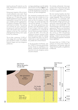tered by placing fill material over the body of the bund on several occasions over the years.

During recent inspection of the rim bund, unusual settlements were noted. These were due to large peat and mud subsoil layers up to 15 metres deep. A more detailed geotechnical survey undertaken subsequently showed that the bund was unstable and that supplementary fill material or flooding of the Warnow could lead to its failure. The resulting risk entailed the toxic substances escaping and reaching the drinking water inlet located some 500 metres upstream on the river. This would have endangered the drinking water supply for the City of Rostock.

This tar lake, containing 12,000 m<sup>3</sup> of tar sludge with a very high naphthalene and phenol content, is considered Rostock's largest and most dangerous polluted site.

une digue périphérique avait été réalisée entre le bassin et le fleuve (figure 1). Les tassements permanents de cette digue ont dû être régulièrement compensés, au fil des ans, par des rechargements.

Des tassements exceptionnels de la digue avaient été constatés lors d'une récente visite de contrôle. Ces tassements sont liés à la présence, à droite de la digue, de couches de tourbe et de vase pouvant atteindre 15 m d'épaisseur. Une étude géotechnique plus poussée a alors été réalisée et a montré que la digue n'était pas stable et qu'un remblaiement ou un épisode de crue du Warnow pouvaient conduire à la rupture de celle-ci. De ce fait, des substances toxiques risquaient d'être entraînées jusqu'au point de captage d'eau potable situé 500 m en amont, mettant alors en péril l'alimentation en eau potable de la ville de Rostock.

Le «lac de goudron» de Rostock, avec ses 12 000 m<sup>3</sup> de boues goudronnées à teneur élevée en naphtalènes et en phénols, constituait le site pollué le plus important et le plus dangereux jamais rencontré à Rostock.

Die ständig auftretenden Setzungen mussten durch Nachschüttungen des Dammkörpers im Abstand von mehreren Jahren ausgeglichen werden.

Bei einer rezenten Inspektion des Dammes wurden außergewöhnliche Setzungen festgestellt. Diese sind bedingt durch die bis 15 m mächtigen unterlagernden Torf- und Muddeschichten. Eine daraufhin erfolgte genauere geotechnische Untersuchung ergab, dass der Damm nicht standsicher ist und Nachschüttungen oder Hochwasserereignisse der Warnow zum Dammbruch führen könnten. Dadurch bestand die Gefahr dass Giftstoffe ausgetragen werden und bis zur 500 m flussaufwärts gelegenen Trink wasserentnahmestelle gelangen. Dadurch wäre die Trinkwasserversorgung der gesamten Hansestadt Rostock gefährdet.

Mit einem Inhalt von 12 000 m<sup>3</sup> Teerschlamm mit einem hohen Gehalt an Naphthalinen und Phenolen stellte der Teersee Rostocks größte und gefährlichste Altlast dar.

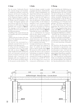### 2. Design

The site owner, Stadtwerke Rostock AG, noted the danger and immediately initiated the necessary construction measures with the aim of warding off the danger in the short term. Because of the exceptional degree of urgency, design, official clearances and the call for tenders were all completed in only 3 months. The Engineer opted for sealing off the tar lake from the Warnow by means of a 300 metres long double sheet-pile wall, as shown in figure 2. The seepage cut-off function of the sheet-pile wall was to be enhanced by the following measures:

- backfilling of the volume between the two sheet-pile walls with low permeability material,

- sealing of the top 4 metres of the interlocks on the disposal area side using a bituminous sealant.

The structure was terminated by a sheet-pile crosswall which acts as an abutment to the adjoining bund.

A waling and strut arrangement was incorporated at the top of the sheetpile walls, as shown in figure 3. This system transfers the loads resulting from earth and hydrostatic pressures and prevents movement at the tops of the sheet-pile walls. Construction of the sheet-pile walls was completed by an HE 120 M section providing support for the precast concrete elements. This

### 2. Etudes

Une fois le danger constaté, la société propriétaire des terrains, Stadtwerke Rostock AG, a réagi immédiatement; son objectif était de lancer très rapidement les travaux nécessaires pour parer au danger. Compte tenu de l'urgence extrême de ceux-ci, les études, la procédure de déclaration d'utilité publique et l'appel d'offres ont été réalisés en seulement 3 mois. Le bureau d'études a opté pour une solution consistant à isoler le lac de goudron du Warnow au moyen d'un double rideau de palplanches de 300 m de long (figure 2). L'étanchéité de l'écran a été réalisée:

- par un remblaiement de l'espace entre les deux rideaux au moyen d'un matériau de faible perméabilité;

- par une étanchéification, à l'aide d'un produit bitumineux, des serrures des palplanches situées côté décharge (sur les 4 m supérieurs des barres).

L'ouvrage se termine par un rideau transversal contre lequel vient s'appuyer la digue. Un système de liernes et de butons en tête du double rideau (figure 3) transmet les efforts résultant de la poussée des terres et de la pression hydrostatique et empêche le déplacement des palplanches en tête. Le couronnement de l'ouvrage en palplanches est constitué par un profilé HE 120 M, qui sert de support pour recevoir les composants préfabriqués en béton

### 2. Planung

Nach Feststellung der Gefährdung reagierte die für das Gelände zuständige Stadtwerke Rostock AG sofort, mit dem Ziel sehr kurzfristig die zur Gefahrenabwehr notwendigen baulichen Maßnahmen einzuleiten. Bedingt durch die hohe Dringlichkeit wurde die Planung, das Planfeststellungsverfahren und die Ausschreibung in nur 3 Monaten durchgezogen. Die Planer entschieden sich für eine Abschottung des Teersees gegenüber der Warnow durch eine 300 m lange doppelwandige Spundwand, siehe Bild 2. Es war geplant die Dichtfunktion des Spundwandbauwerks durch folgende Maßnahmen zu erhöhen: - Verfüllung des Zwischenraumes zwi-

schen den beiden Wänden durch Material mit geringer Durchlässigkeit;

- Dichten der deponieseitigen Spundwandschlösser im oberen Be reich über 4 m mit einer bituminösen Schlossdichtung.

Den Abschluss des Bauwerkes bildet ein Querschott in Spundwand, welches ebenfalls als Widerlager für den Anschlussdamm dient. Am Kopf der Spundwände wurde eine Gurtung mit gegenseitiger Absprießung vorgesehen, siehe Bild 3. Diese überträgt die aus Erd- und Wasserdruck resultierenden Kräfte und verhindert die Verschiebung der Spundwandköpfe. Den Abschluss der Spundwandkonstruktion bildet ein

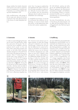design enables the double sheet-pile wall structure to be used as inspection access for pedestrians or vehicles and, if necessary, as a working platform during future rehabilitation work.

High cost-effectiveness, safe storage of the tar waste and, above all, the short construction time were decisive factors in the choice of a steel sheet-piled solution.

armé. Ainsi, l'ouvrage en palplanches peut également être utilisé comme chemin de ronde accessible aux piétons et aux véhicules et pourra même servir, le cas échéant, pour les interventions ultérieures dans le cadre de travaux de réhabilitation de la décharge.

La rentabilité économique, la sécurité du confinement des matériaux mis en décharge, et surtout la durée réduite des travaux, ont été déterminants dans le choix de la solution «palplanches».

HE 120 M-Profil, welches als Auflager für die Stahlbetonfertigteile dient. Dadurch gelang es die Spundwandkonstruktion als begeh- und befahrbaren Kontrollsteig nutzbar zu machen, erforderlichenfalls auch für späteren Technikeinsatz im Zusammenhang mit Sanierungsarbeiten.

Die hohe Wirtschaftlichkeit, die sichere Verwahrung des Deponiegutes und vor allem die kurze Bauzeit waren ausschlaggebend für die Wahl der Spundwandlösung.

### 3. Construction

In order to avoid endangering the existing rim bund, the specification called for a percussion driving test. The aim of this test was to establish a driving method which would, on the one hand, allow rapid piling progress and would, on the other hand, preclude vibrations dangerous to the earth bund which had to be preserved during construction. Three 17 metres long AZ18 double piles were supplied for this driving test. An MS-16 HFV hanging vibratory hammer, incorporating a resonance-free starting device, was used, as depicted in figure 4. During the driving period lasting approximately 3 minutes, vibrations were recorded at different points on the bund, as shown in figure 5. Maximum horizontal particle velocities of between 0.06 and 0.22 mm/s effectively dispelled any

#### 3. Exécution

Afin d'exclure toute menace pour la digue existante, le cahier des charges prévoyait la réalisation d'un essai de vibrofonçage. L'objectif de cet essai était de déterminer le mode de fonçage qui permettrait une progression rapide des travaux tout en excluant les vibrations dangereuses pour cette digue en terre dont l'intégrité n'était pas garantie. L'essai a été réalisé sur trois palplanches doubles AZ18 de 17 m de long, à l'aide d'un vibrateur (MS-16 HFV) suspendu équipé d'un dispositif de démarrage sans résonance (photo 4). Au cours du fonçage, qui durait environ 3 minutes, les vibrations ont été mesurées en plusieurs points de la digue (photo 5). Les valeurs maximales des vitesses particulaires horizontales enregistrées étant comprises entre 0,06 et 0,22 mm/s, toute menace

### 3. Ausführung

Um eine Gefährdung des bestehenden Randdammes auszuschließen war im Lastenheft eine Proberammung vorgesehen. Ziel der Proberammung war es das Einbringverfahren zu ermitteln, das einerseits einen schnellen Rammfortschritt erlaubt und andererseits für den zu diesem Zeitpunkt noch benötigten Erddamm gefährliche Erschütterungen auszuschließen. Zur Proberammung waren 3 AZ18 Doppelbohlen von 17 m Länge vorgesehen. Zum Einsatz kam ein Vibrator (MS-16 HFV) mit resonanzfreiem Anlauf welcher freireitend betrieben wurde, siehe Bild 4. Während des etwa dreiminütigen Abteufvorganges wurden die Schwingungen an verschiedenen Punkten des Dammes gemessen, siehe Bild 5. Es ergaben sich dabei maximale horizontale Schwinggeschwindigkeiten zwischen





**4**  $(5$ 

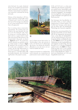risk to the bund. As a result, vibrational driving was accepted and permanent works construction could commence. Vibration measurements recorded during construction confirmed the driving test results.

Delivery of the sheet-piles in 50 lorry loads would have caused traffic chaos in Rostock and it was for this reason that most of the tonnage was delivered by rail using existing branch railway lines to the gasworks.

Due to existing nature conservation requirements, the working area was limited to the area between the lines set out for the sheet-pile walls, thereby acting as a working platform for plant and as a supply route for sheetpiles and structural steel sections to be incorporated in the works, as shown in figures 6 and 7. The construction method retained was perfectly suited to a linear project, as shown in figure 8, leading to the successful result that the works were completed in only 2 months. But the high effectiveness of the AZ18 sheet-piles, amongst other factors due to a 1.26 metre system width per double sheet-pile, also contributed significantly to the project's success.



 $\left( 6\right)$ 

pour la digue pouvait être exclue. Le vibrofonçage a donc été autorisé et le feu vert donné pour le démarrage des travaux. Les mesures de vibrations effectuées au cours de ceux-ci ont confirmé les résultats de l'essai.

L'approvisionnement en palplanches aurait nécessité une cinquantaine de poids lourds et aurait conduit à de gros  $0,06$  und  $0,22$  mm/s, so dass eine Gefährdung des Dammes ausgeschlossen werden konnte. Demzufolge wurde die Vibrationsrammung für die Arbeitsaufnahme freigegeben. Die baubegleitend durchgeführten Schwingungsmessungen bestätigten die Ergebnisse des Rammversuches.

Der Antransport der Spundbohlen mit 50 LKWs hätte zu einem mittleren Verkehrschaos in Rostock geführt. Der Großteil der Tonnage wurde deswegen per Bahn über die bestehende Gleisanlage des Gaswerks angeliefert.

Bedingt durch naturschutzrechtliche Festlegungen beschränkte sich das Arbeitsfeld auf die abgesteckte Spundwandtrasse, so dass diese als Geräteplattform und als Nachschubweg für die einzubringenden Bohlen und Stahlprofile diente, siehe Bilder 6 und 7. Die gewählte Arbeitsweise war der Linienbaustelle optimal angepasst, mit dem Erfolg, dass das Bauwerk in nur 2 Monaten fertiggestellt werden konnte, siehe Bild 8. Zu diesem Erfolg trug aber auch in nicht unerheblichen Maße die hohe Wirtschaftlichkeit der AZ 18-Spundbohlen bei, welche u. a. durch eine Systembreite von 1,26 m pro Doppelbohle erreicht wird.

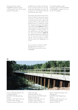For this construction project, ProfilARBED supplied a total of 1,300 tonnes of 16 to 20.35 metres long AZ18 sheet piles.

problèmes de circulation dans Rostock. Aussi la majeure partie du tonnage a-t-elle été acheminée par chemin de fer grâce aux branchements existants de l'ancienne usine à gaz.

Des mesures de protection de l'environnement limitaient l'emprise des travaux à la zone comprise entre les lignes d'implantation des deux rideaux de sorte que celle-ci a été utilisée comme plate-forme pour le matériel et comme voie d'approvisionnement des palplanches et des profilés (photos 6 et 7). Le mode d'exécution retenu était parfaitement adapté au chantier linéaire, ce qu'a démontré le court délai d'exécution: deux mois seulement (photo 8). La rentabilité élevée des palplanches AZ 18, avec entre autres, une largeur utile de 1,26 m par paire, a contribué de manière non négligeable à ce succès.

Pour ce chantier, un total de 1 300 t de palplanches AZ18 de 16 à 20,35mde long, a été fourni par ProfilARBED.

Für das Bauvorhaben wurden insgesamt 1300 t AZ18-Spundbohlen von ProfilARBED in Längen von 16 m bis 20,35 m geliefert.



Owner: Stadtwerke Rostock, AG Consulting Engineer: MONTRA GmbH Bauplanung, Rostock Contactors: TIAS Tiesler Tief- and Hochbau GmbH, Rostock Construction period: 04-06/97

Maître d'ouvrage: Stadtwerke Rostock, AG Bureau d'études: MONTRA GmbH Bauplanung, Rostock Entreprise: TIAS Tiesler Tief- und Hochbau GmbH, Rostock Période d'exécution: 04-06/97

Bauherr: Stadtwerke Rostock, AG Planungsbüro: MONTRA GmbH Bauplanung, Rostock Ausführung: TIAS Tiesler Tief- und Hochbau GmbH, Rostock Bauzeit: 04-06/97